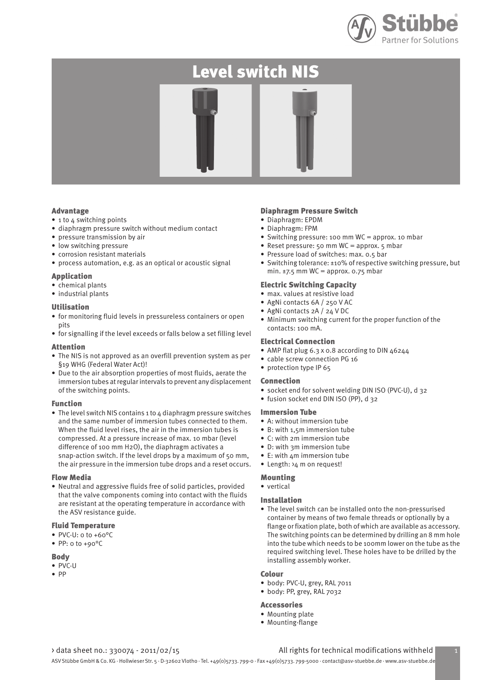

# Level switch NIS



#### Advantage

- 1 to 4 switching points
- diaphragm pressure switch without medium contact
- pressure transmission by air
- low switching pressure
- corrosion resistant materials
- process automation, e.g. as an optical or acoustic signal

#### Application

- chemical plants
- industrial plants

#### Utilisation

- for monitoring fluid levels in pressureless containers or open pits
- for signalling if the level exceeds or falls below a set filling level

#### Attention

- The NIS is not approved as an overfill prevention system as per §19 WHG (Federal Water Act)!
- Due to the air absorption properties of most fluids, aerate the immersion tubes at regular intervals to prevent any displacement of the switching points.

#### Function

• The level switch NIS contains 1 to  $\Delta$  diaphragm pressure switches and the same number of immersion tubes connected to them. When the fluid level rises, the air in the immersion tubes is compressed. At a pressure increase of max. 10 mbar (level difference of 100 mm H2O), the diaphragm activates a snap-action switch. If the level drops by a maximum of 50 mm, the air pressure in the immersion tube drops and a reset occurs.

#### Flow Media

• Neutral and aggressive fluids free of solid particles, provided that the valve components coming into contact with the fluids are resistant at the operating temperature in accordance with the ASV resistance guide.

#### Fluid Temperature

- PVC-U: 0 to +60°C
- PP: 0 to +90°C

#### Body

- PVC-U
- PP

#### Diaphragm Pressure Switch

- Diaphragm: EPDM
- Diaphragm: FPM
- Switching pressure: 100 mm WC = approx. 10 mbar
- Reset pressure: 50 mm WC = approx. 5 mbar
- Pressure load of switches: max. 0.5 bar
- Switching tolerance: ±10% of respective switching pressure, but min.  $\pm$ 7.5 mm WC = approx. 0.75 mbar

#### Electric Switching Capacity

- max. values at resistive load
- AgNi contacts 6A / 250 V AC
- AgNi contacts 2A / 24 V DC
- Minimum switching current for the proper function of the contacts: 100 mA.

#### Electrical Connection

- AMP flat plug 6.3 x 0.8 according to DIN 46244
- cable screw connection PG 16
- protection type IP 65

#### Connection

- socket end for solvent welding DIN ISO (PVC-U), d 32
- fusion socket end DIN ISO (PP), d 32

#### Immersion Tube

- A: without immersion tube
- B: with 1,5m immersion tube
- C: with 2m immersion tube
- D: with 3m immersion tube
- E: with 4m immersion tube
- Length: >4 m on request!

#### Mounting

• vertical

#### Installation

• The level switch can be installed onto the non-pressurised container by means of two female threads or optionally by a flange or fixation plate, both of which are available as accessory. The switching points can be determined by drilling an 8 mm hole into the tube which needs to be 100mm lower on the tube as the required switching level. These holes have to be drilled by the installing assembly worker.

#### Colour

- body: PVC-U, grey, RAL 7011
- body: PP, grey, RAL 7032

#### Accessories

- Mounting plate
- Mounting-flange

### > data sheet no.: 330074 - 2011/02/15 All rights for technical modifications withheld

ASV Stübbe GmbH & Co. KG · Hollwieser Str. 5 · D-32602 Vlotho · Tel. +49(0)5733. 799-0 · Fax +49(0)5733. 799-5000 · contact@asv-stuebbe.de · www.asv-stuebbe.de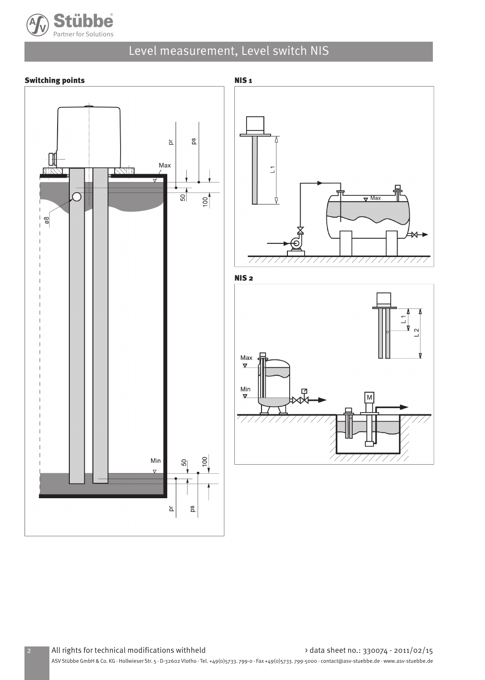

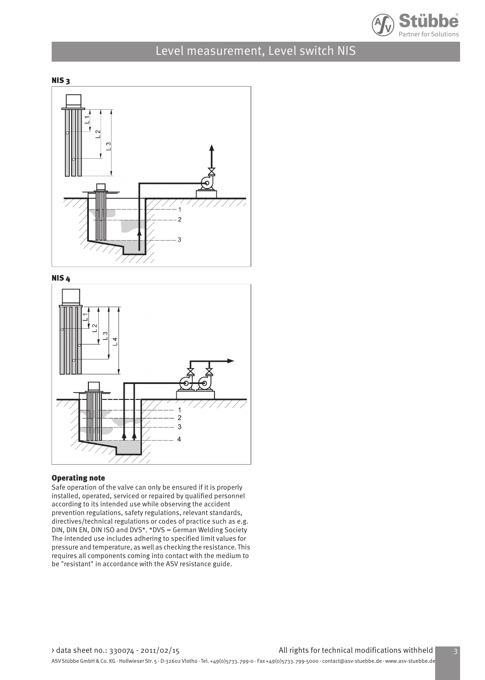







#### Operating note

Safe operation of the valve can only be ensured if it is properly installed, operated, serviced or repaired by qualified personnel according to its intended use while observing the accident prevention regulations, safety regulations, relevant standards, directives/technical regulations or codes of practice such as e.g. DIN, DIN EN, DIN ISO and DVS\*. \*DVS = German Welding Society The intended use includes adhering to specified limit values for pressure and temperature, as well as checking the resistance. This requires all components coming into contact with the medium to be "resistant" in accordance with the ASV resistance guide.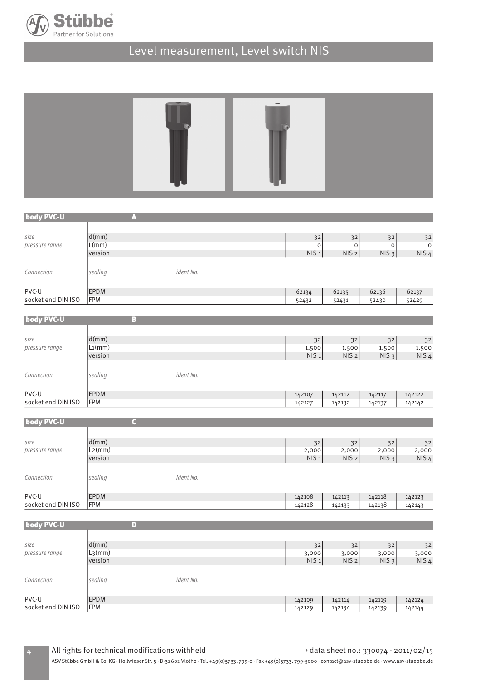



| body PVC-U         | ' m '       |           |                  |                  |          |                  |
|--------------------|-------------|-----------|------------------|------------------|----------|------------------|
|                    |             |           |                  |                  |          |                  |
| size               | d(mm)       |           | 32               | 32               | 32       | 32               |
| pressure range     | L(mm)       |           | $\circ$          | O                | $\Omega$ | $\circ$          |
|                    | version     |           | NIS <sub>1</sub> | NIS <sub>2</sub> | $NIS_3$  | NIS <sub>4</sub> |
| Connection         | sealing     | ident No. |                  |                  |          |                  |
| PVC-U              | <b>EPDM</b> |           | 62134            | 62135            | 62136    | 62137            |
| socket end DIN ISO | FPM         |           | 52432            | 52431            | 52430    | 52429            |

| body PVC-U         | Н                         |           |                  |                  |         |         |
|--------------------|---------------------------|-----------|------------------|------------------|---------|---------|
|                    |                           |           |                  |                  |         |         |
| size               | $\mathsf{d}(\mathsf{mm})$ |           | 32               | 32               | 32      | 32      |
| pressure range     | $\mathsf{L}_1$ (mm)       |           | 1,500            | 1,500            | 1,500   | 1,500   |
|                    | version                   |           | NIS <sub>1</sub> | NIS <sub>2</sub> | $NIS_3$ | $NIS_4$ |
| Connection         | sealing                   | ident No. |                  |                  |         |         |
| PVC-U              | <b>EPDM</b>               |           | 142107           | 142112           | 142117  | 142122  |
|                    | <b>FPM</b>                |           | 142127           | 142132           | 142137  | 142142  |
| socket end DIN ISO |                           |           |                  |                  |         |         |

| body PVC-U         |                             |            |         |                  |         |         |
|--------------------|-----------------------------|------------|---------|------------------|---------|---------|
|                    |                             |            |         |                  |         |         |
| size               | d(mm)                       |            | 32      | 32               | 32      | 32      |
| pressure range     | $\vert$ L <sub>2</sub> (mm) |            | 2,000   | 2,000            | 2,000   | 2,000   |
|                    | version                     |            | $NIS_1$ | NIS <sub>2</sub> | $NIS_3$ | $NIS_4$ |
| Connection         | sealing                     | lident No. |         |                  |         |         |
| PVC-U              | <b>EPDM</b>                 |            | 142108  | 142113           | 142118  | 142123  |
| socket end DIN ISO | <b>IFPM</b>                 |            | 142128  | 142133           | 142138  | 142143  |

| body PVC-U         | П                               |           |                  |                  |         |         |
|--------------------|---------------------------------|-----------|------------------|------------------|---------|---------|
|                    |                                 |           |                  |                  |         |         |
| size               | d(mm)                           |           | 32               | 32               | 32      | 32      |
| pressure range     | $\left  \text{L3}(m m) \right $ |           | 3,000            | 3,000            | 3,000   | 3,000   |
|                    | version                         |           | NIS <sub>1</sub> | NIS <sub>2</sub> | $NIS_3$ | $NIS_4$ |
| Connection         | sealing                         | ident No. |                  |                  |         |         |
| PVC-U              | <b>EPDM</b>                     |           | 142109           | 142114           | 142119  | 142124  |
| socket end DIN ISO | FPM                             |           | 142129           | 142134           | 142139  | 142144  |

ASV Stübbe GmbH & Co. KG · Hollwieser Str. 5 · D-32602 Vlotho · Tel. +49(0)5733. 799-0 · Fax +49(0)5733. 799-5000 · contact@asv-stuebbe.de · www.asv-stuebbe.de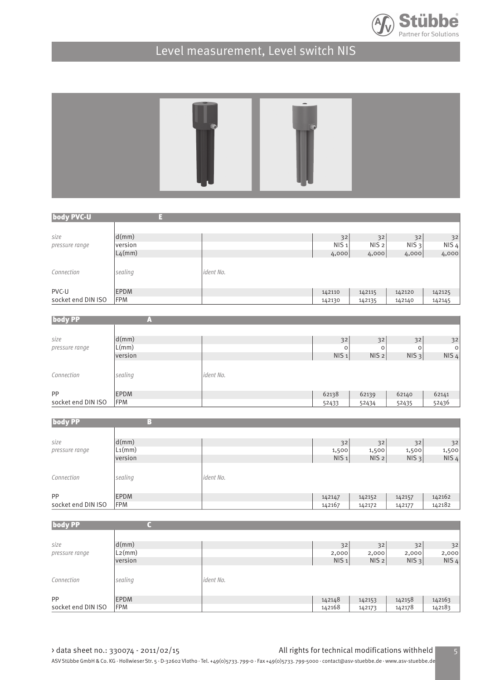



| body PVC-U         | 태           |                  |                  |                  |                  |                  |
|--------------------|-------------|------------------|------------------|------------------|------------------|------------------|
|                    |             |                  |                  |                  |                  |                  |
| size               | d(mm)       |                  | 32               | 32               | 32               | 32               |
| pressure range     | version     |                  | NIS <sub>1</sub> | NIS <sub>2</sub> | NIS <sub>3</sub> | NIS <sub>4</sub> |
|                    | $L_4$ (mm)  |                  | 4,000            | 4,000            | 4,000            | 4,000            |
| Connection         | sealing     | <i>ident No.</i> |                  |                  |                  |                  |
| PVC-U              | <b>EPDM</b> |                  | 142110           | 142115           | 142120           | 142125           |
| socket end DIN ISO | <b>FPM</b>  |                  | 142130           | 142135           | 142140           | 142145           |

| <b>body PP</b>     | in 1        |           |                  |                  |         |         |
|--------------------|-------------|-----------|------------------|------------------|---------|---------|
| size               | d(mm)       |           | 32               | 32               | 32      | 32      |
| pressure range     | L(mm)       |           | $\circ$          | 0                | $\circ$ | $\circ$ |
|                    | version     |           | NIS <sub>1</sub> | NIS <sub>2</sub> | $NIS_3$ | $NIS_4$ |
| Connection         | sealing     | ident No. |                  |                  |         |         |
| <b>PP</b>          | <b>EPDM</b> |           | 62138            | 62139            | 62140   | 62141   |
| socket end DIN ISO | FPM         |           | 52433            | 52434            | 52435   | 52436   |

| <b>body PP</b>     | Н                           |           |                  |                  |         |         |
|--------------------|-----------------------------|-----------|------------------|------------------|---------|---------|
|                    |                             |           |                  |                  |         |         |
| size               | d(mm)                       |           | 32               | 32               | 32      | 32      |
| pressure range     | $\vert$ L <sub>1</sub> (mm) |           | 1,500            | 1,500            | 1,500   | 1,500   |
|                    | version                     |           | NIS <sub>1</sub> | NIS <sub>2</sub> | $NIS_3$ | $NIS_4$ |
| Connection         | sealing                     | ident No. |                  |                  |         |         |
| <b>PP</b>          | <b>EPDM</b>                 |           | 142147           | 142152           | 142157  | 142162  |
| socket end DIN ISO | <b>FPM</b>                  |           | 142167           | 142172           | 142177  | 142182  |

| <b>body PP</b>     |             |           |                  |                  |         |         |
|--------------------|-------------|-----------|------------------|------------------|---------|---------|
|                    |             |           |                  |                  |         |         |
| size               | d(mm)       |           | 32               | 32               | 32      | 32      |
| pressure range     | $L_2$ (mm)  |           | 2,000            | 2,000            | 2,000   | 2,000   |
|                    | version     |           | NIS <sub>1</sub> | NIS <sub>2</sub> | $NIS_3$ | $NIS_4$ |
| Connection         | sealing     | ident No. |                  |                  |         |         |
| <b>PP</b>          | <b>EPDM</b> |           | 142148           | 142153           | 142158  | 142163  |
| socket end DIN ISO | <b>FPM</b>  |           | 142168           | 142173           | 142178  | 142183  |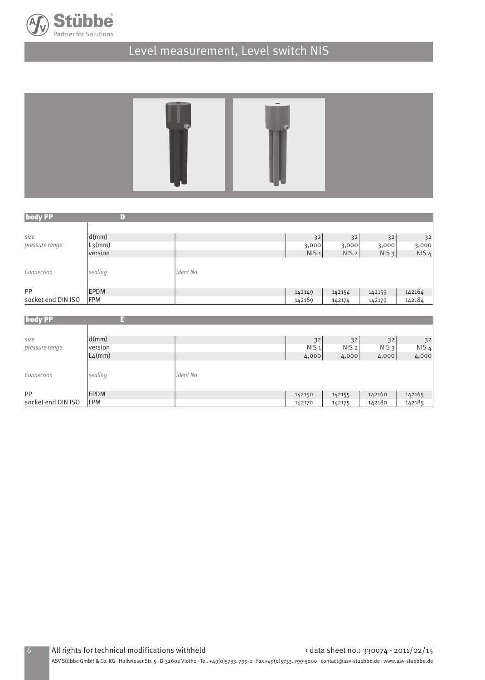



| <b>body PP</b>     |                                 |           |                  |                  |         |         |
|--------------------|---------------------------------|-----------|------------------|------------------|---------|---------|
|                    |                                 |           |                  |                  |         |         |
| size               | d(mm)                           |           | 32               | 32               | 32      | 32      |
| pressure range     | $\left  \text{L3}(m m) \right $ |           | 3,000            | 3,000            | 3,000   | 3,000   |
|                    | version                         |           | NIS <sub>1</sub> | NIS <sub>2</sub> | $NIS_3$ | $NIS_4$ |
| Connection         | sealing                         | ident No. |                  |                  |         |         |
| PP                 | <b>EPDM</b>                     |           | 142149           | 142154           | 142159  | 142164  |
| socket end DIN ISO | <b>IFPM</b>                     |           | 142169           | 142174           | 142179  | 142184  |

| <b>body PP</b>         |                   |           |                        |                        |                        |                        |
|------------------------|-------------------|-----------|------------------------|------------------------|------------------------|------------------------|
| size<br>pressure range | d(mm)<br> version |           | 32<br>NIS <sub>1</sub> | 32<br>NIS <sub>2</sub> | 32<br>NIS <sub>3</sub> | 32<br>NIS <sub>4</sub> |
|                        | $L_4$ (mm)        |           | 4,000                  | 4,000                  | 4,000                  | 4,000                  |
| Connection             | sealing           | ident No. |                        |                        |                        |                        |
| PP                     | <b>EPDM</b>       |           | 142150                 | 142155                 | 142160                 | 142165                 |
| socket end DIN ISO     | FPM               |           | 142170                 | 142175                 | 142180                 | 142185                 |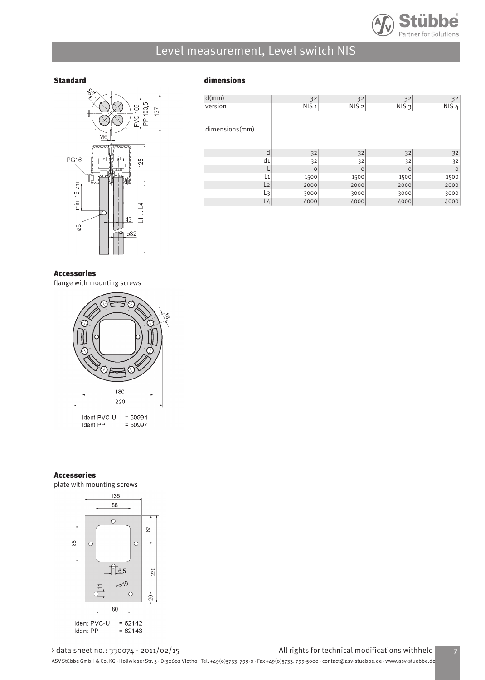



#### Standard dimensions

| d(mm)          |                | 32               | 32               | 32               | 32               |
|----------------|----------------|------------------|------------------|------------------|------------------|
| version        |                | NIS <sub>1</sub> | NIS <sub>2</sub> | NIS <sub>3</sub> | NIS <sub>4</sub> |
| dimensions(mm) |                |                  |                  |                  |                  |
|                | d              | 32               | 32               | 32               | 32               |
|                | d <sub>1</sub> | 32               | 32               | 32               | 32               |
|                |                | $\circ$          | $\circ$          | $\circ$          | $\circ$          |
|                | L <sub>1</sub> | 1500             | 1500             | 1500             | 1500             |
|                | L <sub>2</sub> | 2000             | 2000             | 2000             | 2000             |
|                | L <sub>3</sub> | 3000             | 3000             | 3000             | 3000             |
|                | L4             | 4000             | 4000             | 4000             | 4000             |

#### Accessories

flange with mounting screws



 $= 50994$ Ident PVC-U Ident PP  $= 50997$ 

#### Accessories

plate with mounting screws